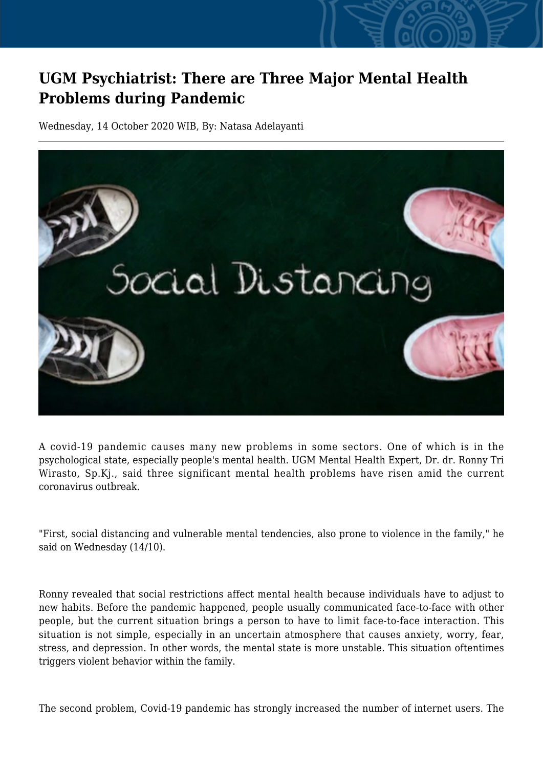## **UGM Psychiatrist: There are Three Major Mental Health Problems during Pandemic**

Wednesday, 14 October 2020 WIB, By: Natasa Adelayanti



A covid-19 pandemic causes many new problems in some sectors. One of which is in the psychological state, especially people's mental health. UGM Mental Health Expert, Dr. dr. Ronny Tri Wirasto, Sp.Kj., said three significant mental health problems have risen amid the current coronavirus outbreak.

"First, social distancing and vulnerable mental tendencies, also prone to violence in the family," he said on Wednesday (14/10).

Ronny revealed that social restrictions affect mental health because individuals have to adjust to new habits. Before the pandemic happened, people usually communicated face-to-face with other people, but the current situation brings a person to have to limit face-to-face interaction. This situation is not simple, especially in an uncertain atmosphere that causes anxiety, worry, fear, stress, and depression. In other words, the mental state is more unstable. This situation oftentimes triggers violent behavior within the family.

The second problem, Covid-19 pandemic has strongly increased the number of internet users. The